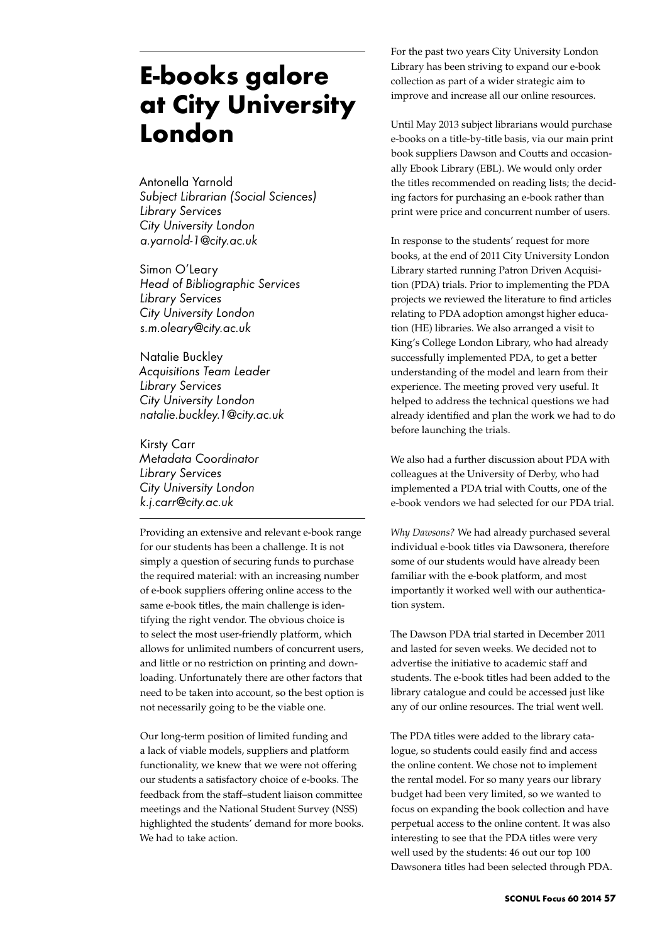# **E-books galore at City University London**

Antonella Yarnold *Subject Librarian (Social Sciences) Library Services City University London a.yarnold-1@city.ac.uk*

Simon O'Leary *Head of Bibliographic Services Library Services City University London s.m.oleary@city.ac.uk* 

Natalie Buckley *Acquisitions Team Leader Library Services City University London natalie.buckley.1@city.ac.uk* 

Kirsty Carr *Metadata Coordinator Library Services City University London k.j.carr@city.ac.uk* 

Providing an extensive and relevant e-book range for our students has been a challenge. It is not simply a question of securing funds to purchase the required material: with an increasing number of e-book suppliers offering online access to the same e-book titles, the main challenge is identifying the right vendor. The obvious choice is to select the most user-friendly platform, which allows for unlimited numbers of concurrent users, and little or no restriction on printing and downloading. Unfortunately there are other factors that need to be taken into account, so the best option is not necessarily going to be the viable one.

Our long-term position of limited funding and a lack of viable models, suppliers and platform functionality, we knew that we were not offering our students a satisfactory choice of e-books. The feedback from the staff–student liaison committee meetings and the National Student Survey (NSS) highlighted the students' demand for more books. We had to take action.

For the past two years City University London Library has been striving to expand our e-book collection as part of a wider strategic aim to improve and increase all our online resources.

Until May 2013 subject librarians would purchase e-books on a title-by-title basis, via our main print book suppliers Dawson and Coutts and occasionally Ebook Library (EBL). We would only order the titles recommended on reading lists; the deciding factors for purchasing an e-book rather than print were price and concurrent number of users.

In response to the students' request for more books, at the end of 2011 City University London Library started running Patron Driven Acquisition (PDA) trials. Prior to implementing the PDA projects we reviewed the literature to find articles relating to PDA adoption amongst higher education (HE) libraries. We also arranged a visit to King's College London Library, who had already successfully implemented PDA, to get a better understanding of the model and learn from their experience. The meeting proved very useful. It helped to address the technical questions we had already identified and plan the work we had to do before launching the trials.

We also had a further discussion about PDA with colleagues at the University of Derby, who had implemented a PDA trial with Coutts, one of the e-book vendors we had selected for our PDA trial.

*Why Dawsons?* We had already purchased several individual e-book titles via Dawsonera, therefore some of our students would have already been familiar with the e-book platform, and most importantly it worked well with our authentication system.

The Dawson PDA trial started in December 2011 and lasted for seven weeks. We decided not to advertise the initiative to academic staff and students. The e-book titles had been added to the library catalogue and could be accessed just like any of our online resources. The trial went well.

The PDA titles were added to the library catalogue, so students could easily find and access the online content. We chose not to implement the rental model. For so many years our library budget had been very limited, so we wanted to focus on expanding the book collection and have perpetual access to the online content. It was also interesting to see that the PDA titles were very well used by the students: 46 out our top 100 Dawsonera titles had been selected through PDA.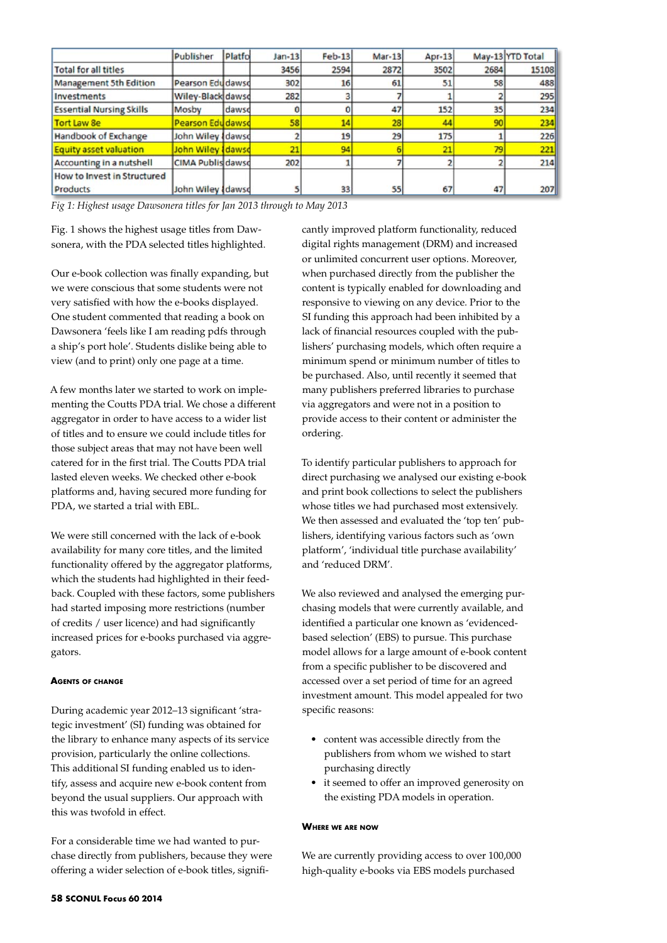|                                 | Publisher                | Platfo | $Jan-13$ | $Feb-13$ | $Mar-13$ | $Apr-13$ |      | May-13 YTD Total |
|---------------------------------|--------------------------|--------|----------|----------|----------|----------|------|------------------|
| <b>Total for all titles</b>     |                          |        | 3456     | 2594     | 2872     | 3502     | 2684 | 15108            |
| Management 5th Edition          | Pearson Edu dawsd        |        | 302      | 16       | 61       | 51       | 58   | 488              |
| Investments                     | Wiley-Black dawsd        |        | 282      |          |          |          |      | 295              |
| <b>Essential Nursing Skills</b> | Mosby                    | dawsd  |          |          | 47       | 152      | 35   | 234              |
| Tort Law Se                     | <b>Pearson Edudawsd</b>  |        | 58       | 14       | 28       | 44       | 90   | 234              |
| Handbook of Exchange            | John Wiley dawsd         |        |          | 19       | 29       | 175      |      | 226              |
| Equity asset valuation          | John Wiley <i>dawsd</i>  |        | 21       | 94       |          | 21       | 79   | 221              |
| Accounting in a nutshell        | <b>CIMA Publis dawsd</b> |        | 202      |          |          |          |      | 214              |
| How to Invest in Structured     |                          |        |          |          |          |          |      |                  |
| Products                        | John Wiley <i>dawsd</i>  |        |          | 33       | 55       | 67       | 47   | 207              |

*Fig 1: Highest usage Dawsonera titles for Jan 2013 through to May 2013*

Fig. 1 shows the highest usage titles from Dawsonera, with the PDA selected titles highlighted.

Our e-book collection was finally expanding, but we were conscious that some students were not very satisfied with how the e-books displayed. One student commented that reading a book on Dawsonera 'feels like I am reading pdfs through a ship's port hole'. Students dislike being able to view (and to print) only one page at a time.

A few months later we started to work on implementing the Coutts PDA trial. We chose a different aggregator in order to have access to a wider list of titles and to ensure we could include titles for those subject areas that may not have been well catered for in the first trial. The Coutts PDA trial lasted eleven weeks. We checked other e-book platforms and, having secured more funding for PDA, we started a trial with EBL.

We were still concerned with the lack of e-book availability for many core titles, and the limited functionality offered by the aggregator platforms, which the students had highlighted in their feedback. Coupled with these factors, some publishers had started imposing more restrictions (number of credits / user licence) and had significantly increased prices for e-books purchased via aggregators.

#### **Agents of change**

During academic year 2012–13 significant 'strategic investment' (SI) funding was obtained for the library to enhance many aspects of its service provision, particularly the online collections. This additional SI funding enabled us to identify, assess and acquire new e-book content from beyond the usual suppliers. Our approach with this was twofold in effect.

For a considerable time we had wanted to purchase directly from publishers, because they were offering a wider selection of e-book titles, significantly improved platform functionality, reduced digital rights management (DRM) and increased or unlimited concurrent user options. Moreover, when purchased directly from the publisher the content is typically enabled for downloading and responsive to viewing on any device. Prior to the SI funding this approach had been inhibited by a lack of financial resources coupled with the publishers' purchasing models, which often require a minimum spend or minimum number of titles to be purchased. Also, until recently it seemed that many publishers preferred libraries to purchase via aggregators and were not in a position to provide access to their content or administer the ordering.

To identify particular publishers to approach for direct purchasing we analysed our existing e-book and print book collections to select the publishers whose titles we had purchased most extensively. We then assessed and evaluated the 'top ten' publishers, identifying various factors such as 'own platform', 'individual title purchase availability' and 'reduced DRM'.

We also reviewed and analysed the emerging purchasing models that were currently available, and identified a particular one known as 'evidencedbased selection' (EBS) to pursue. This purchase model allows for a large amount of e-book content from a specific publisher to be discovered and accessed over a set period of time for an agreed investment amount. This model appealed for two specific reasons:

- • content was accessible directly from the publishers from whom we wished to start purchasing directly
- it seemed to offer an improved generosity on the existing PDA models in operation.

### **Where we are now**

We are currently providing access to over 100,000 high-quality e-books via EBS models purchased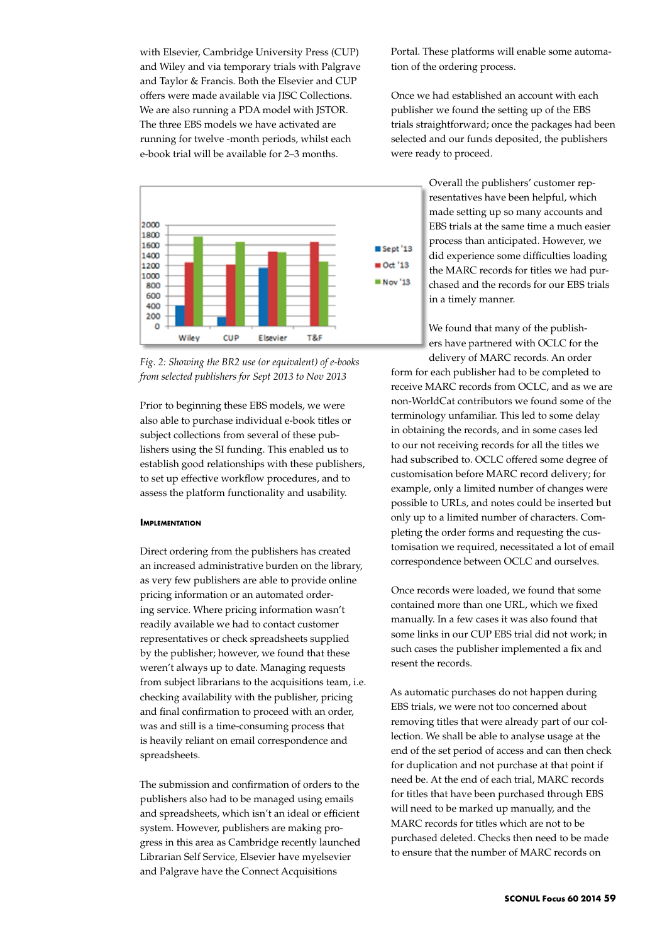with Elsevier, Cambridge University Press (CUP) and Wiley and via temporary trials with Palgrave and Taylor & Francis. Both the Elsevier and CUP offers were made available via JISC Collections. We are also running a PDA model with JSTOR. The three EBS models we have activated are running for twelve -month periods, whilst each e-book trial will be available for 2–3 months.



*Fig. 2: Showing the BR2 use (or equivalent) of e-books from selected publishers for Sept 2013 to Nov 2013*

Prior to beginning these EBS models, we were also able to purchase individual e-book titles or subject collections from several of these publishers using the SI funding. This enabled us to establish good relationships with these publishers, to set up effective workflow procedures, and to assess the platform functionality and usability.

# **IMPLEMENTATION**

Direct ordering from the publishers has created an increased administrative burden on the library, as very few publishers are able to provide online pricing information or an automated ordering service. Where pricing information wasn't readily available we had to contact customer representatives or check spreadsheets supplied by the publisher; however, we found that these weren't always up to date. Managing requests from subject librarians to the acquisitions team, i.e. checking availability with the publisher, pricing and final confirmation to proceed with an order, was and still is a time-consuming process that is heavily reliant on email correspondence and spreadsheets.

The submission and confirmation of orders to the publishers also had to be managed using emails and spreadsheets, which isn't an ideal or efficient system. However, publishers are making progress in this area as Cambridge recently launched Librarian Self Service, Elsevier have myelsevier and Palgrave have the Connect Acquisitions

Portal. These platforms will enable some automation of the ordering process.

Once we had established an account with each publisher we found the setting up of the EBS trials straightforward; once the packages had been selected and our funds deposited, the publishers were ready to proceed.

> Overall the publishers' customer representatives have been helpful, which made setting up so many accounts and EBS trials at the same time a much easier process than anticipated. However, we did experience some difficulties loading the MARC records for titles we had purchased and the records for our EBS trials in a timely manner.

We found that many of the publishers have partnered with OCLC for the delivery of MARC records. An order

form for each publisher had to be completed to receive MARC records from OCLC, and as we are non-WorldCat contributors we found some of the terminology unfamiliar. This led to some delay in obtaining the records, and in some cases led to our not receiving records for all the titles we had subscribed to. OCLC offered some degree of customisation before MARC record delivery; for example, only a limited number of changes were possible to URLs, and notes could be inserted but only up to a limited number of characters. Completing the order forms and requesting the customisation we required, necessitated a lot of email correspondence between OCLC and ourselves.

Once records were loaded, we found that some contained more than one URL, which we fixed manually. In a few cases it was also found that some links in our CUP EBS trial did not work; in such cases the publisher implemented a fix and resent the records.

As automatic purchases do not happen during EBS trials, we were not too concerned about removing titles that were already part of our collection. We shall be able to analyse usage at the end of the set period of access and can then check for duplication and not purchase at that point if need be. At the end of each trial, MARC records for titles that have been purchased through EBS will need to be marked up manually, and the MARC records for titles which are not to be purchased deleted. Checks then need to be made to ensure that the number of MARC records on